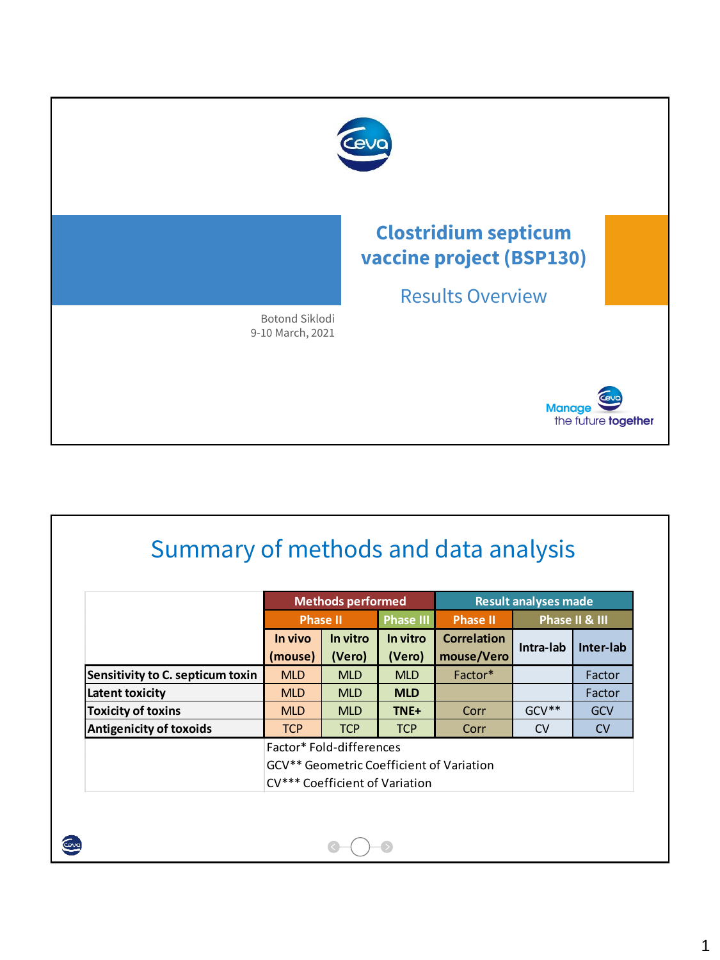

| Summary of methods and data analysis |                                                        |                          |                  |                                          |           |                |  |  |
|--------------------------------------|--------------------------------------------------------|--------------------------|------------------|------------------------------------------|-----------|----------------|--|--|
|                                      |                                                        |                          |                  |                                          |           |                |  |  |
|                                      |                                                        | <b>Methods performed</b> |                  | <b>Result analyses made</b>              |           |                |  |  |
|                                      | <b>Phase II</b>                                        |                          | <b>Phase III</b> | <b>Phase II</b>                          |           | Phase II & III |  |  |
|                                      | In vivo                                                | In vitro                 | In vitro         | <b>Correlation</b>                       |           | Inter-lab      |  |  |
|                                      | Intra-lab<br>mouse/Vero<br>(mouse)<br>(Vero)<br>(Vero) |                          |                  |                                          |           |                |  |  |
| Sensitivity to C. septicum toxin     | <b>MLD</b>                                             | <b>MLD</b>               | <b>MLD</b>       | Factor*                                  |           | Factor         |  |  |
| Latent toxicity                      | <b>MLD</b>                                             | <b>MLD</b>               | <b>MLD</b>       |                                          |           | Factor         |  |  |
| <b>Toxicity of toxins</b>            | <b>MLD</b>                                             | <b>MLD</b>               | TNE+             | Corr                                     | $GCV**$   | <b>GCV</b>     |  |  |
| <b>Antigenicity of toxoids</b>       | <b>TCP</b>                                             | <b>TCP</b>               | <b>TCP</b>       | Corr                                     | <b>CV</b> | <b>CV</b>      |  |  |
|                                      | Factor* Fold-differences                               |                          |                  |                                          |           |                |  |  |
|                                      |                                                        |                          |                  | GCV** Geometric Coefficient of Variation |           |                |  |  |
|                                      | CV*** Coefficient of Variation                         |                          |                  |                                          |           |                |  |  |

 $\bullet$ 

 $\bullet$ 

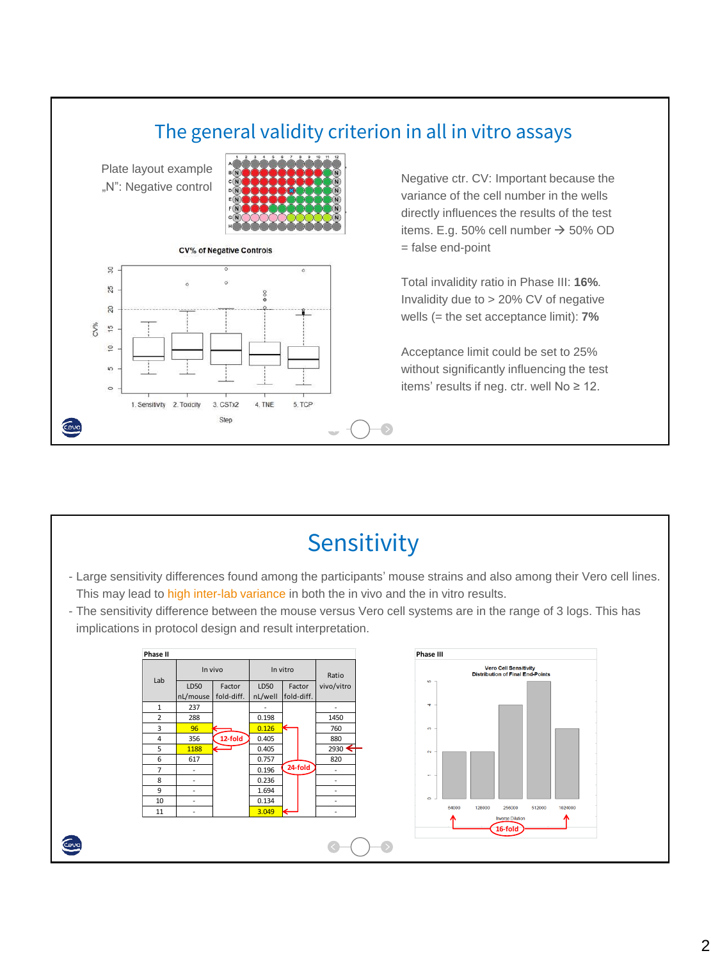

# Sensitivity

- Large sensitivity differences found among the participants' mouse strains and also among their Vero cell lines. This may lead to high inter-lab variance in both the in vivo and the in vitro results.
- The sensitivity difference between the mouse versus Vero cell systems are in the range of 3 logs. This has implications in protocol design and result interpretation.



Cevo

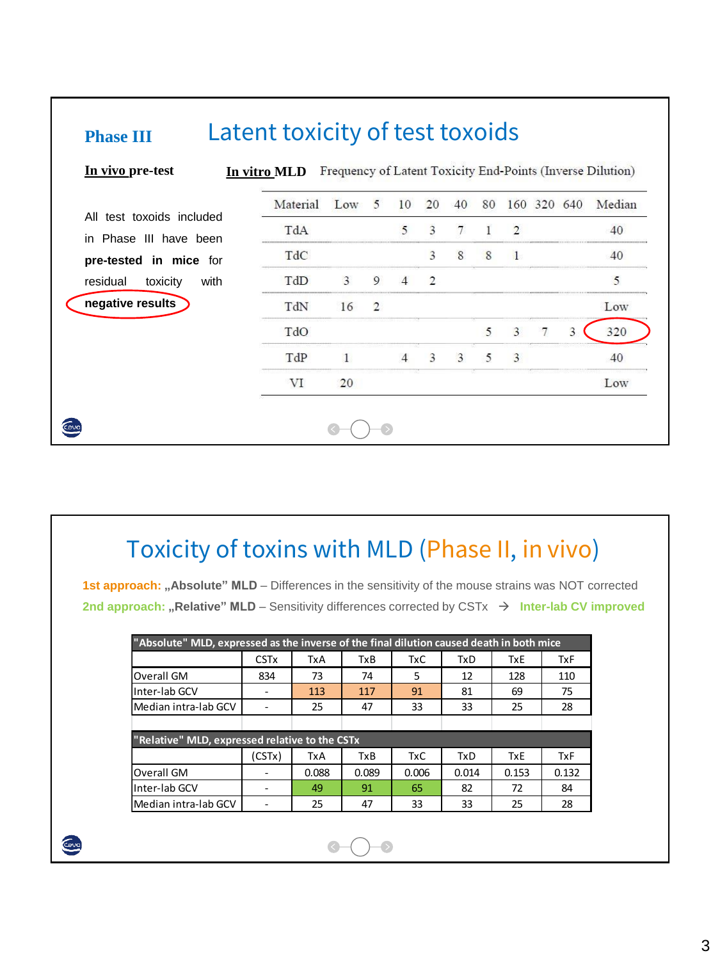| In vivo pre-test             | In vitro MLD |              |                |                |                |        |        |                |         |   | Frequency of Latent Toxicity End-Points (Inverse Dilution) |
|------------------------------|--------------|--------------|----------------|----------------|----------------|--------|--------|----------------|---------|---|------------------------------------------------------------|
| All test toxoids included    | Material     | Low          | 5              | 10             | 20             | 40     | 80     | 160            | 320 640 |   | Median                                                     |
| in Phase III have been       | TdA          |              |                | 5              | 3              | $\tau$ | 1      | $\overline{2}$ |         |   | 40                                                         |
| pre-tested in mice for       | TdC          |              |                |                | 3              | 8      | 8      | $\blacksquare$ |         |   | 40                                                         |
| residual<br>toxicity<br>with | TdD          | 3            | 9              |                | $\mathfrak{D}$ |        |        |                |         |   | 5                                                          |
| negative results             | TdN          | 16           | $\overline{2}$ |                |                |        |        |                |         |   | Low                                                        |
|                              | TdO          |              |                |                |                |        | 5      | $\mathbf{3}$   |         | 3 | 320                                                        |
|                              | TdP          | $\mathbf{1}$ |                | $\overline{4}$ | 3              | 3      | $\sim$ | 3              |         |   | 40                                                         |
|                              | VI           | 20           |                |                |                |        |        |                |         |   | Low                                                        |

# Toxicity of toxins with MLD (Phase II, in vivo)

**1st approach: "Absolute" MLD** – Differences in the sensitivity of the mouse strains was NOT corrected **2nd approach: "Relative" MLD** – Sensitivity differences corrected by CSTx → Inter-lab CV improved

|                                                | "Absolute" MLD, expressed as the inverse of the final dilution caused death in both mice |       |       |            |            |            |            |  |  |  |  |  |  |  |
|------------------------------------------------|------------------------------------------------------------------------------------------|-------|-------|------------|------------|------------|------------|--|--|--|--|--|--|--|
|                                                | <b>CST<sub>x</sub></b>                                                                   | TxA   | TxB   | <b>TxC</b> | <b>TxD</b> | <b>TxE</b> | <b>TxF</b> |  |  |  |  |  |  |  |
| Overall GM                                     | 834                                                                                      | 73    | 74    | 5          | 12         | 128        | 110        |  |  |  |  |  |  |  |
| Inter-lab GCV                                  |                                                                                          | 113   | 117   | 91         | 81         | 69         | 75         |  |  |  |  |  |  |  |
| Median intra-lab GCV                           |                                                                                          | 25    | 47    | 33         | 33         | 25         | 28         |  |  |  |  |  |  |  |
|                                                |                                                                                          |       |       |            |            |            |            |  |  |  |  |  |  |  |
| "Relative" MLD, expressed relative to the CSTx |                                                                                          |       |       |            |            |            |            |  |  |  |  |  |  |  |
|                                                | (CSTx)                                                                                   | TxA   | TxB   | <b>TxC</b> | <b>TxD</b> | <b>TxE</b> | <b>TxF</b> |  |  |  |  |  |  |  |
| Overall GM                                     |                                                                                          | 0.088 | 0.089 | 0.006      | 0.014      | 0.153      | 0.132      |  |  |  |  |  |  |  |
| Inter-lab GCV                                  |                                                                                          | 49    | 91    | 65         | 82         | 72         | 84         |  |  |  |  |  |  |  |
| Median intra-lab GCV                           |                                                                                          | 25    | 47    | 33         | 33         | 25         | 28         |  |  |  |  |  |  |  |

ENG

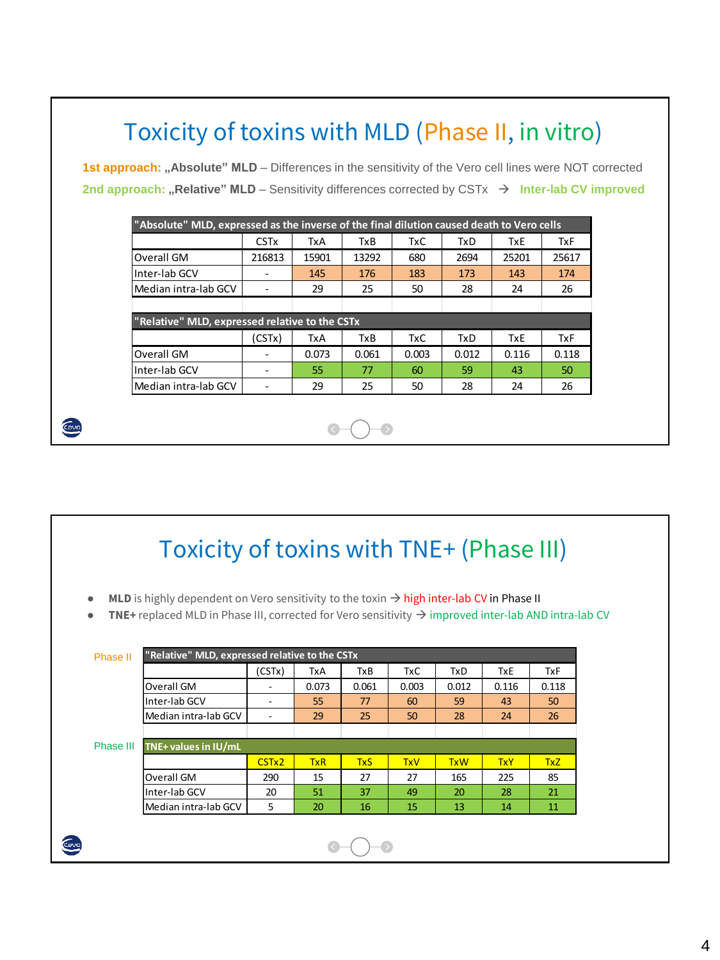|                                                                                                                |                          |            |       | Toxicity of toxins with MLD (Phase II, in vitro) |            |            |            |
|----------------------------------------------------------------------------------------------------------------|--------------------------|------------|-------|--------------------------------------------------|------------|------------|------------|
| <b>1st approach:</b> "Absolute" MLD – Differences in the sensitivity of the Vero cell lines were NOT corrected |                          |            |       |                                                  |            |            |            |
| 2nd approach: "Relative" MLD – Sensitivity differences corrected by CSTx $\rightarrow$ Inter-lab CV improved   |                          |            |       |                                                  |            |            |            |
|                                                                                                                |                          |            |       |                                                  |            |            |            |
| "Absolute" MLD, expressed as the inverse of the final dilution caused death to Vero cells                      |                          |            |       |                                                  |            |            |            |
|                                                                                                                | <b>CSTx</b>              | TxA        | TxB   | TxC                                              | TxD        | <b>TxE</b> | <b>TxF</b> |
| Overall GM                                                                                                     | 216813                   | 15901      | 13292 | 680                                              | 2694       | 25201      | 25617      |
| Inter-lab GCV                                                                                                  | $\sim$                   | 145        | 176   | 183                                              | 173        | 143        | 174        |
| Median intra-lab GCV                                                                                           | $\overline{\phantom{a}}$ | 29         | 25    | 50                                               | 28         | 24         | 26         |
|                                                                                                                |                          |            |       |                                                  |            |            |            |
| "Relative" MLD, expressed relative to the CSTx                                                                 |                          |            |       |                                                  |            |            |            |
|                                                                                                                | (CSTx)                   | <b>TxA</b> | TxB   | <b>TxC</b>                                       | <b>TxD</b> | <b>TxE</b> | <b>TxF</b> |
| Overall GM                                                                                                     | $\sim$                   | 0.073      | 0.061 | 0.003                                            | 0.012      | 0.116      | 0.118      |
| Inter-lab GCV                                                                                                  | ۰.                       | 55         | 77    | 60                                               | 59         | 43         | 50         |
| Median intra-lab GCV                                                                                           | $\overline{\phantom{a}}$ | 29         | 25    | 50                                               | 28         | 24         | 26         |

# Toxicity of toxins with TNE+ (Phase III)

- **MLD** is highly dependent on Vero sensitivity to the toxin → high inter-lab CV in Phase II
- **TNE**+ replaced MLD in Phase III, corrected for Vero sensitivity → improved inter-lab AND intra-lab CV

|           |                      | (CSTx)                   | TxA        | TxB        | TxC        | <b>TxD</b> | TxE        | TxF        |  |  |  |
|-----------|----------------------|--------------------------|------------|------------|------------|------------|------------|------------|--|--|--|
|           | Overall GM           | -                        | 0.073      | 0.061      | 0.003      | 0.012      | 0.116      | 0.118      |  |  |  |
|           | Inter-lab GCV        | $\overline{\phantom{a}}$ | 55         | 77         | 60         | 59         | 43         | 50         |  |  |  |
|           | Median intra-lab GCV |                          | 29         | 25         | 50         | 28         | 24         | 26         |  |  |  |
|           |                      |                          |            |            |            |            |            |            |  |  |  |
| Phase III | TNE+ values in IU/mL |                          |            |            |            |            |            |            |  |  |  |
|           |                      | CST <sub>x2</sub>        | <b>TxR</b> | <b>TxS</b> | <b>TxV</b> | <b>TxW</b> | <b>TxY</b> | <b>TxZ</b> |  |  |  |
|           | Overall GM           | 290                      | 15         | 27         | 27         | 165        | 225        | 85         |  |  |  |
|           | Inter-lab GCV        | 20                       | 51         | 37         | 49         | 20         | 28         | 21         |  |  |  |
|           | Median intra-lab GCV | 5                        | 20         | 16         | 15         | 13         | 14         | 11         |  |  |  |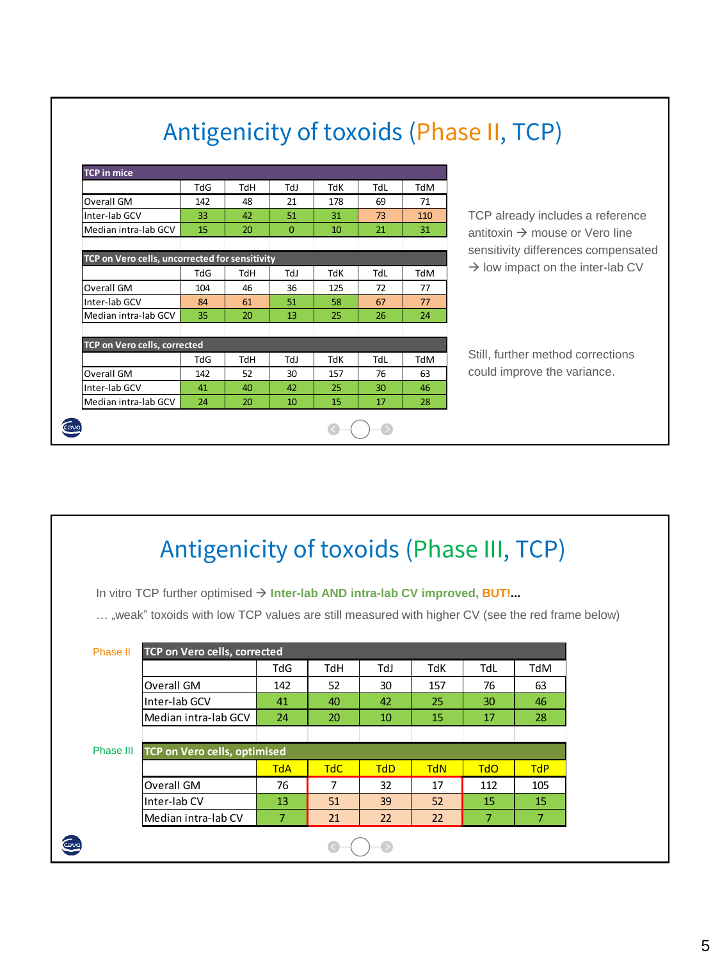| <b>TCP</b> in mice                             |     |     |          |     |     |     |                                              |
|------------------------------------------------|-----|-----|----------|-----|-----|-----|----------------------------------------------|
|                                                | TdG | TdH | TdJ      | TdK | TdL | TdM |                                              |
| Overall GM                                     | 142 | 48  | 21       | 178 | 69  | 71  |                                              |
| Inter-lab GCV                                  | 33  | 42  | 51       | 31  | 73  | 110 | TCP already includes a reference             |
| Median intra-lab GCV                           | 15  | 20  | $\Omega$ | 10  | 21  | 31  | antitoxin $\rightarrow$ mouse or Vero line   |
|                                                |     |     |          |     |     |     | sensitivity differences compensated          |
| TCP on Vero cells, uncorrected for sensitivity |     |     |          |     |     |     |                                              |
|                                                | TdG | TdH | IdJ      | TdK | TdL | TdM | $\rightarrow$ low impact on the inter-lab CV |
| Overall GM                                     | 104 | 46  | 36       | 125 | 72  | 77  |                                              |
| Inter-lab GCV                                  | 84  | 61  | 51       | 58  | 67  | 77  |                                              |
| Median intra-lab GCV                           | 35  | 20  | 13       | 25  | 26  | 24  |                                              |
| TCP on Vero cells, corrected                   |     |     |          |     |     |     |                                              |
|                                                | TdG | TdH | LbT      | TdK | TdL | TdM | Still, further method corrections            |
| Overall GM                                     | 142 | 52  | 30       | 157 | 76  | 63  | could improve the variance.                  |
| Inter-lab GCV                                  | 41  | 40  | 42       | 25  | 30  | 46  |                                              |
| Median intra-lab GCV                           | 24  | 20  | 10       | 15  | 17  | 28  |                                              |

# Antigenicity of toxoids (Phase II, TCP)

|           | Antigenicity of toxoids (Phase III, TCP)                                                        |                |                |            |            |                |            |  |
|-----------|-------------------------------------------------------------------------------------------------|----------------|----------------|------------|------------|----------------|------------|--|
|           | In vitro TCP further optimised $\rightarrow$ Inter-lab AND intra-lab CV improved, BUT!          |                |                |            |            |                |            |  |
|           | , weak" toxoids with low TCP values are still measured with higher CV (see the red frame below) |                |                |            |            |                |            |  |
| Phase II  | <b>TCP on Vero cells, corrected</b>                                                             |                |                |            |            |                |            |  |
|           |                                                                                                 | TdG            | TdH            | LbT        | TdK        | TdL            | TdM        |  |
|           | Overall GM                                                                                      | 142            | 52             | 30         | 157        | 76             | 63         |  |
|           | Inter-lab GCV                                                                                   | 41             | 40             | 42         | 25         | 30             | 46         |  |
|           | Median intra-lab GCV                                                                            | 24             | 20             | 10         | 15         | 17             | 28         |  |
| Phase III | <b>TCP on Vero cells, optimised</b>                                                             |                |                |            |            |                |            |  |
|           |                                                                                                 | <b>TdA</b>     | <b>TdC</b>     | <b>TdD</b> | <b>TdN</b> | <b>TdO</b>     | <b>TdP</b> |  |
|           | Overall GM                                                                                      | 76             | $\overline{7}$ | 32         | 17         | 112            | 105        |  |
|           | Inter-lab CV                                                                                    | 13             | 51             | 39         | 52         | 15             | 15         |  |
|           | Median intra-lab CV                                                                             | $\overline{7}$ | 21             | 22         | 22         | $\overline{7}$ | 7          |  |
|           |                                                                                                 |                |                |            |            |                |            |  |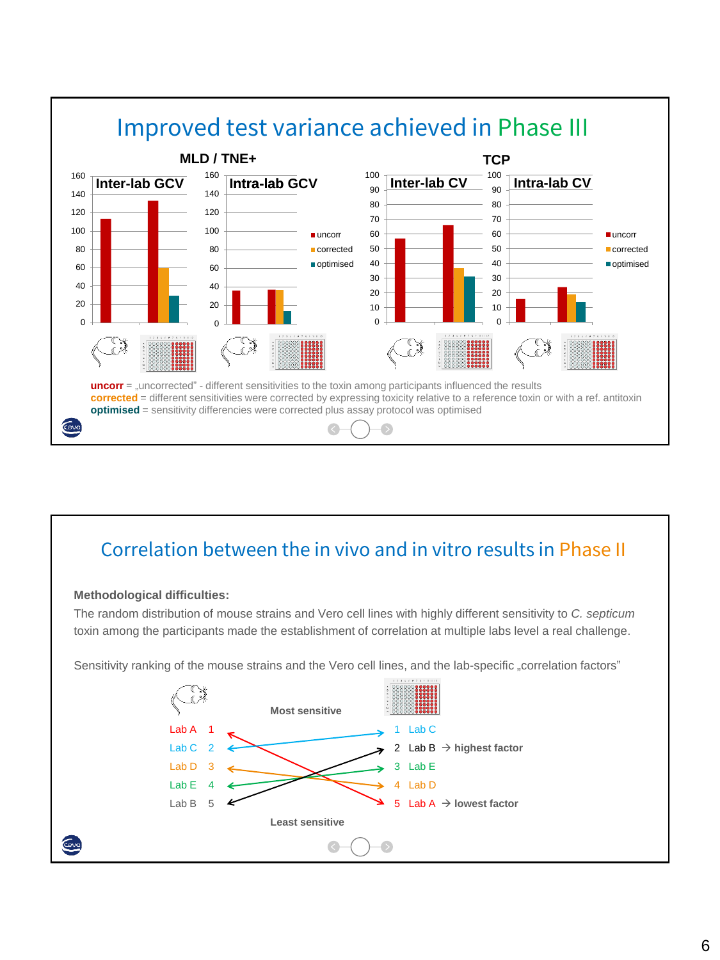

# Correlation between the in vivo and in vitro results in Phase II

### **Methodological difficulties:**

Gug

The random distribution of mouse strains and Vero cell lines with highly different sensitivity to *C. septicum* toxin among the participants made the establishment of correlation at multiple labs level a real challenge.

Sensitivity ranking of the mouse strains and the Vero cell lines, and the lab-specific "correlation factors"

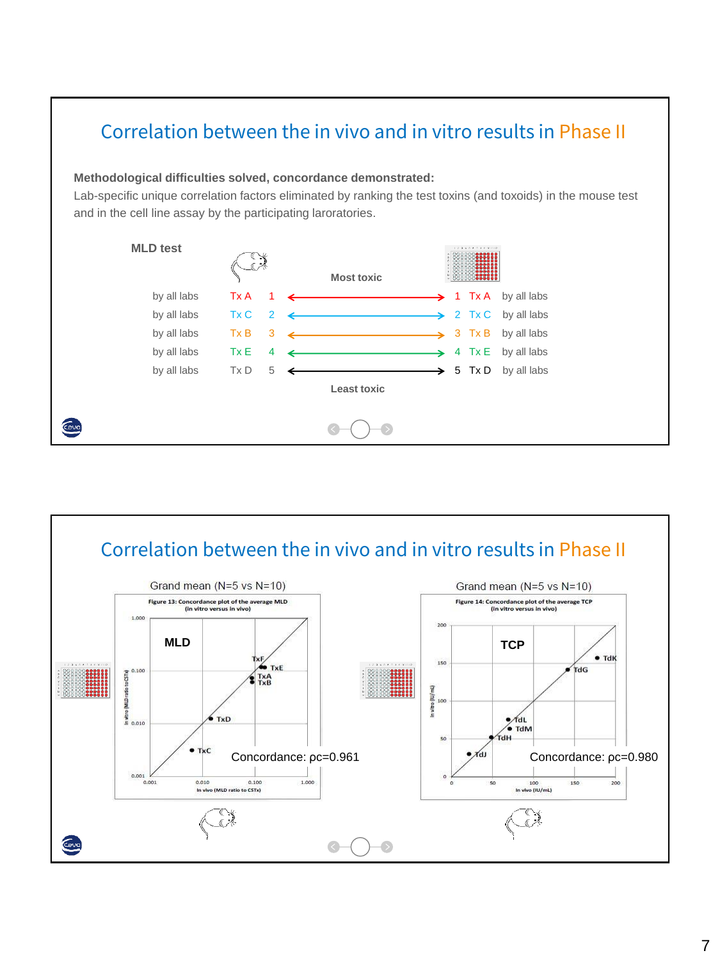# Correlation between the in vivo and in vitro results in Phase II

### **Methodological difficulties solved, concordance demonstrated:**

Lab-specific unique correlation factors eliminated by ranking the test toxins (and toxoids) in the mouse test and in the cell line assay by the participating laroratories.